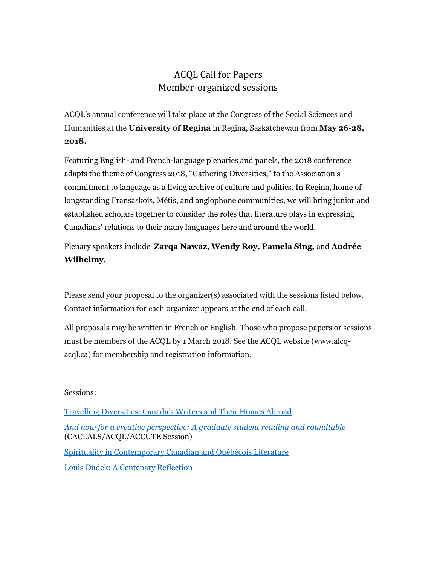## ACQL Call for Papers Member-organized sessions

ACQL's annual conference will take place at the Congress of the Social Sciences and Humanities at the **University of Regina** in Regina, Saskatchewan from **May 26-28, 2018.**

Featuring English- and French-language plenaries and panels, the 2018 conference adapts the theme of Congress 2018, "Gathering Diversities," to the Association's commitment to language as a living archive of culture and politics. In Regina, home of longstanding Fransaskois, Métis, and anglophone communities, we will bring junior and established scholars together to consider the roles that literature plays in expressing Canadians' relations to their many languages here and around the world.

Plenary speakers include **Zarqa Nawaz, Wendy Roy, Pamela Sing,** and **Audrée Wilhelmy.**

Please send your proposal to the organizer(s) associated with the sessions listed below. Contact information for each organizer appears at the end of each call.

All proposals may be written in French or English. Those who propose papers or sessions must be members of the ACQL by 1 March 2018. See the ACQL website (www.alcqacql.ca) for membership and registration information.

Sessions:

[Travelling Diversities: Canada's Writers and Their Homes Abroad](#page-1-0) *[And now for a creative perspective: A graduate student reading and roundtable](#page-2-0)*  (CACLALS/ACQL/ACCUTE Session) [Spirituality in Contemporary Canadian and Québécois Literature](#page-3-0) [Louis Dudek: A Centenary Reflection](#page-4-0)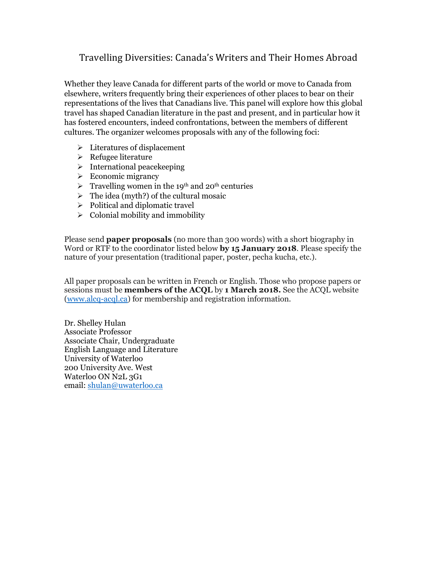# <span id="page-1-0"></span>Travelling Diversities: Canada's Writers and Their Homes Abroad

Whether they leave Canada for different parts of the world or move to Canada from elsewhere, writers frequently bring their experiences of other places to bear on their representations of the lives that Canadians live. This panel will explore how this global travel has shaped Canadian literature in the past and present, and in particular how it has fostered encounters, indeed confrontations, between the members of different cultures. The organizer welcomes proposals with any of the following foci:

- $\triangleright$  Literatures of displacement
- $\triangleright$  Refugee literature
- $\triangleright$  International peacekeeping
- $\triangleright$  Economic migrancy
- $\triangleright$  Travelling women in the 19<sup>th</sup> and 20<sup>th</sup> centuries
- $\triangleright$  The idea (myth?) of the cultural mosaic
- $\triangleright$  Political and diplomatic travel
- $\triangleright$  Colonial mobility and immobility

Please send **paper proposals** (no more than 300 words) with a short biography in Word or RTF to the coordinator listed below **by 15 January 2018**. Please specify the nature of your presentation (traditional paper, poster, pecha kucha, etc.).

All paper proposals can be written in French or English. Those who propose papers or sessions must be **members of the ACQL** by **1 March 2018.** See the ACQL website [\(www.alcq-acql.ca\)](http://www.alcq-acql.ca/) for membership and registration information.

Dr. Shelley Hulan Associate Professor Associate Chair, Undergraduate English Language and Literature University of Waterloo 200 University Ave. West Waterloo ON N2L 3G1 email: [shulan@uwaterloo.ca](mailto:shulan@uwaterloo.ca)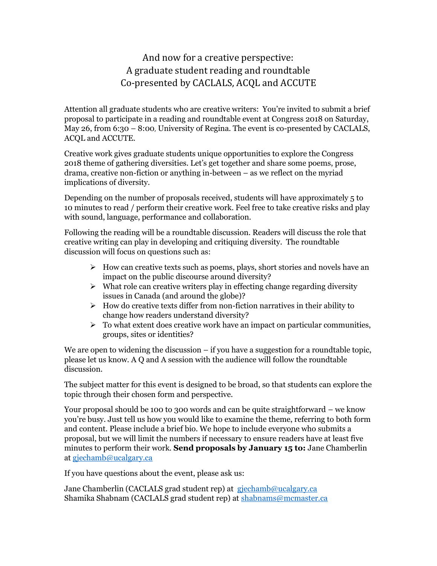# And now for a creative perspective: A graduate student reading and roundtable Co-presented by CACLALS, ACQL and ACCUTE

<span id="page-2-0"></span>Attention all graduate students who are creative writers: You're invited to submit a brief proposal to participate in a reading and roundtable event at Congress 2018 on Saturday, May 26, from 6:30 – 8:00, University of Regina. The event is co-presented by CACLALS, ACQL and ACCUTE.

Creative work gives graduate students unique opportunities to explore the Congress 2018 theme of gathering diversities. Let's get together and share some poems, prose, drama, creative non-fiction or anything in-between – as we reflect on the myriad implications of diversity.

Depending on the number of proposals received, students will have approximately 5 to 10 minutes to read / perform their creative work. Feel free to take creative risks and play with sound, language, performance and collaboration.

Following the reading will be a roundtable discussion. Readers will discuss the role that creative writing can play in developing and critiquing diversity. The roundtable discussion will focus on questions such as:

- $\triangleright$  How can creative texts such as poems, plays, short stories and novels have an impact on the public discourse around diversity?
- $\triangleright$  What role can creative writers play in effecting change regarding diversity issues in Canada (and around the globe)?
- $\triangleright$  How do creative texts differ from non-fiction narratives in their ability to change how readers understand diversity?
- $\triangleright$  To what extent does creative work have an impact on particular communities, groups, sites or identities?

We are open to widening the discussion – if you have a suggestion for a roundtable topic, please let us know. A Q and A session with the audience will follow the roundtable discussion.

The subject matter for this event is designed to be broad, so that students can explore the topic through their chosen form and perspective.

Your proposal should be 100 to 300 words and can be quite straightforward – we know you're busy. Just tell us how you would like to examine the theme, referring to both form and content. Please include a brief bio. We hope to include everyone who submits a proposal, but we will limit the numbers if necessary to ensure readers have at least five minutes to perform their work. **Send proposals by January 15 to:** Jane Chamberlin at [gjechamb@ucalgary.ca](mailto:gjechamb@ucalgary.ca)

If you have questions about the event, please ask us:

Jane Chamberlin (CACLALS grad student rep) at [gjechamb@ucalgary.ca](mailto:gjechamb@ucalgary.ca) Shamika Shabnam (CACLALS grad student rep) at [shabnams@mcmaster.ca](mailto:shabnams@mcmaster.ca)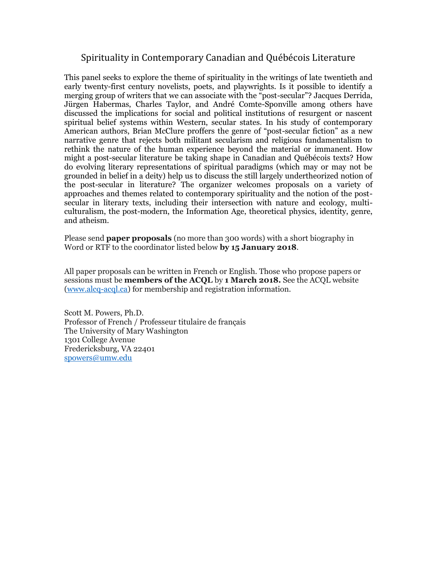### <span id="page-3-0"></span>Spirituality in Contemporary Canadian and Québécois Literature

This panel seeks to explore the theme of spirituality in the writings of late twentieth and early twenty-first century novelists, poets, and playwrights. Is it possible to identify a merging group of writers that we can associate with the "post-secular"? Jacques Derrida, Jürgen Habermas, Charles Taylor, and André Comte-Sponville among others have discussed the implications for social and political institutions of resurgent or nascent spiritual belief systems within Western, secular states. In his study of contemporary American authors, Brian McClure proffers the genre of "post-secular fiction" as a new narrative genre that rejects both militant secularism and religious fundamentalism to rethink the nature of the human experience beyond the material or immanent. How might a post-secular literature be taking shape in Canadian and Québécois texts? How do evolving literary representations of spiritual paradigms (which may or may not be grounded in belief in a deity) help us to discuss the still largely undertheorized notion of the post-secular in literature? The organizer welcomes proposals on a variety of approaches and themes related to contemporary spirituality and the notion of the postsecular in literary texts, including their intersection with nature and ecology, multiculturalism, the post-modern, the Information Age, theoretical physics, identity, genre, and atheism.

Please send **paper proposals** (no more than 300 words) with a short biography in Word or RTF to the coordinator listed below **by 15 January 2018**.

All paper proposals can be written in French or English. Those who propose papers or sessions must be **members of the ACQL** by **1 March 2018.** See the ACQL website [\(www.alcq-acql.ca\)](http://www.alcq-acql.ca/) for membership and registration information.

Scott M. Powers, Ph.D. Professor of French / Professeur titulaire de français The University of Mary Washington 1301 College Avenue Fredericksburg, VA 22401 [spowers@umw.edu](mailto:spowers@umw.edu)